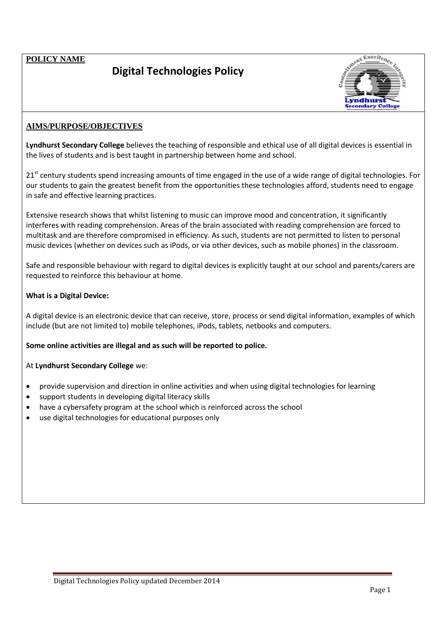**POLICY NAME**

## **Digital Technologies Policy**



## **AIMS/PURPOSE/OBJECTIVES**

**Lyndhurst Secondary College** believes the teaching of responsible and ethical use of all digital devices is essential in the lives of students and is best taught in partnership between home and school.

21<sup>st</sup> century students spend increasing amounts of time engaged in the use of a wide range of digital technologies. For our students to gain the greatest benefit from the opportunities these technologies afford, students need to engage in safe and effective learning practices.

Extensive research shows that whilst listening to music can improve mood and concentration, it significantly interferes with reading comprehension. Areas of the brain associated with reading comprehension are forced to multitask and are therefore compromised in efficiency. As such, students are not permitted to listen to personal music devices (whether on devices such as iPods, or via other devices, such as mobile phones) in the classroom.

Safe and responsible behaviour with regard to digital devices is explicitly taught at our school and parents/carers are requested to reinforce this behaviour at home.

## **What is a Digital Device:**

A digital device is an electronic device that can receive, store, process or send digital information, examples of which include (but are not limited to) mobile telephones, iPods, tablets, netbooks and computers.

**Some online activities are illegal and as such will be reported to police.** 

At **Lyndhurst Secondary College** we:

- provide supervision and direction in online activities and when using digital technologies for learning
- support students in developing digital literacy skills
- have a cybersafety program at the school which is reinforced across the school
- use digital technologies for educational purposes only